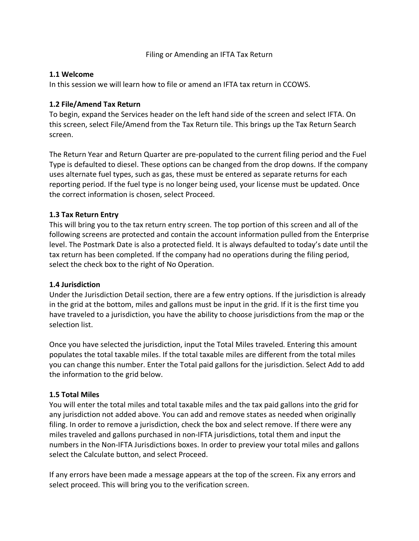## Filing or Amending an IFTA Tax Return

### **1.1 Welcome**

In this session we will learn how to file or amend an IFTA tax return in CCOWS.

### **1.2 File/Amend Tax Return**

To begin, expand the Services header on the left hand side of the screen and select IFTA. On this screen, select File/Amend from the Tax Return tile. This brings up the Tax Return Search screen.

The Return Year and Return Quarter are pre-populated to the current filing period and the Fuel Type is defaulted to diesel. These options can be changed from the drop downs. If the company uses alternate fuel types, such as gas, these must be entered as separate returns for each reporting period. If the fuel type is no longer being used, your license must be updated. Once the correct information is chosen, select Proceed.

## **1.3 Tax Return Entry**

This will bring you to the tax return entry screen. The top portion of this screen and all of the following screens are protected and contain the account information pulled from the Enterprise level. The Postmark Date is also a protected field. It is always defaulted to today's date until the tax return has been completed. If the company had no operations during the filing period, select the check box to the right of No Operation.

#### **1.4 Jurisdiction**

Under the Jurisdiction Detail section, there are a few entry options. If the jurisdiction is already in the grid at the bottom, miles and gallons must be input in the grid. If it is the first time you have traveled to a jurisdiction, you have the ability to choose jurisdictions from the map or the selection list.

Once you have selected the jurisdiction, input the Total Miles traveled. Entering this amount populates the total taxable miles. If the total taxable miles are different from the total miles you can change this number. Enter the Total paid gallons for the jurisdiction. Select Add to add the information to the grid below.

## **1.5 Total Miles**

You will enter the total miles and total taxable miles and the tax paid gallons into the grid for any jurisdiction not added above. You can add and remove states as needed when originally filing. In order to remove a jurisdiction, check the box and select remove. If there were any miles traveled and gallons purchased in non-IFTA jurisdictions, total them and input the numbers in the Non-IFTA Jurisdictions boxes. In order to preview your total miles and gallons select the Calculate button, and select Proceed.

If any errors have been made a message appears at the top of the screen. Fix any errors and select proceed. This will bring you to the verification screen.